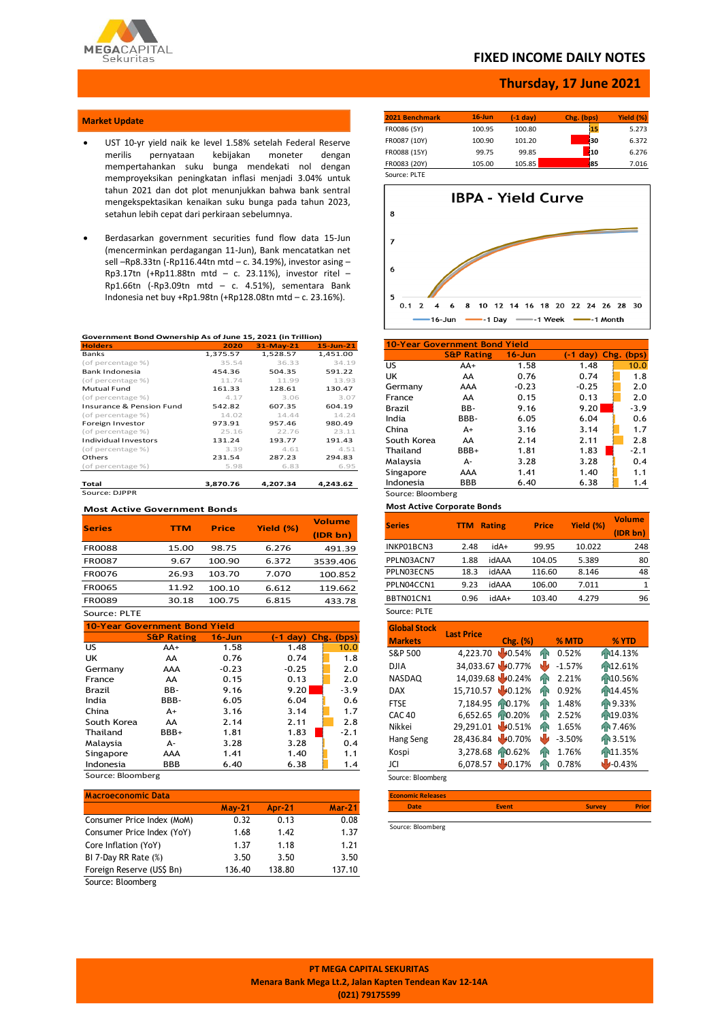

### **FIXED INCOME DAILY NOTES**

### **Thursday, 17 June 2021**

### **Market Update**

- UST 10-yr yield naik ke level 1.58% setelah Federal Reserve merilis pernyataan kebijakan moneter dengan mempertahankan suku bunga mendekati nol dengan memproyeksikan peningkatan inflasi menjadi 3.04% untuk tahun 2021 dan dot plot menunjukkan bahwa bank sentral mengekspektasikan kenaikan suku bunga pada tahun 2023, setahun lebih cepat dari perkiraan sebelumnya.
- Berdasarkan government securities fund flow data 15-Jun (mencerminkan perdagangan 11-Jun), Bank mencatatkan net sell –Rp8.33tn (-Rp116.44tn mtd – c. 34.19%), investor asing – Rp3.17tn (+Rp11.88tn mtd – c. 23.11%), investor ritel – Rp1.66tn (-Rp3.09tn mtd – c. 4.51%), sementara Bank Indonesia net buy +Rp1.98tn (+Rp128.08tn mtd – c. 23.16%).

#### **Government Bond Ownership As of June 15, 2021 (in Trillion)**

| <b>Holders</b>           | 2020     | $31-May-21$ | $15$ -Jun-21 |
|--------------------------|----------|-------------|--------------|
| <b>Banks</b>             | 1,375.57 | 1,528.57    | 1,451.00     |
| (of percentage %)        | 35.54    | 36.33       | 34.19        |
| Bank Indonesia           | 454.36   | 504.35      | 591.22       |
| (of percentage %)        | 11.74    | 11.99       | 13.93        |
| Mutual Fund              | 161.33   | 128.61      | 130.47       |
| (of percentage %)        | 4.17     | 3.06        | 3.07         |
| Insurance & Pension Fund | 542.82   | 607.35      | 604.19       |
| (of percentage %)        | 14.02    | 14.44       | 14.24        |
| Foreign Investor         | 973.91   | 957.46      | 980.49       |
| (of percentage %)        | 25.16    | 22.76       | 23.11        |
| Individual Investors     | 131.24   | 193.77      | 191.43       |
| (of percentage %)        | 3.39     | 4.61        | 4.51         |
| Others                   | 231.54   | 287.23      | 294.83       |
| (of percentage %)        | 5.98     | 6.83        | 6.95         |
| Total                    | 3,870.76 | 4,207.34    | 4,243.62     |
| Source: DJPPR            |          |             |              |

## **Most Active Government Bonds**

| <b>Series</b> | <b>TTM</b> | <b>Price</b> | Yield (%) | <b>Volume</b> |
|---------------|------------|--------------|-----------|---------------|
|               |            |              |           | (IDR bn)      |
| <b>FR0088</b> | 15.00      | 98.75        | 6.276     | 491.39        |
| <b>FR0087</b> | 9.67       | 100.90       | 6.372     | 3539.406      |
| <b>FR0076</b> | 26.93      | 103.70       | 7.070     | 100.852       |
| <b>FR0065</b> | 11.92      | 100.10       | 6.612     | 119.662       |
| FR0089        | 30.18      | 100.75       | 6.815     | 433.78        |
| Source: PLTE  |            |              |           |               |

**10-Year Government Bond Yield S&P Rating 16-Jun (-1 day) Chg. (bps)** US AA+ 1.58 1.48 10.0 UK AA 0.76 0.74 1.8 Germany AAA -0.23 -0.25 2.0 France AA 0.15 0.13 2.0 Brazil BB- 9.16 9.20 -3.9 India BBB- 6.05 6.04 0.6 China A+ 3.16 3.14 1.7 South Korea AA 2.14 2.11 2.8<br>Thailand BBB+ 1.81 1.83 2.1 Thailand BBB+ 1.81 1.83 -2.1<br>
Malaysia A- 3.28 3.28 0.4 Malaysia A- 3.28 3.28 0.4 Singapore AAA 1.41 1.40 1.1<br>
Indonesia BBB 6.40 6.38 1.4 Indonesia BBB 6.40 6.38 1.4  $10 -$ 

Source: Bloomberg

| <b>Macroeconomic Data</b>  |          |               |               |
|----------------------------|----------|---------------|---------------|
|                            | $May-21$ | <b>Apr-21</b> | <b>Mar-21</b> |
| Consumer Price Index (MoM) | 0.32     | 0.13          | 0.08          |
| Consumer Price Index (YoY) | 1.68     | 1.42          | 1.37          |
| Core Inflation (YoY)       | 1.37     | 1.18          | 1.21          |
| BI 7-Day RR Rate (%)       | 3.50     | 3.50          | 3.50          |
| Foreign Reserve (US\$ Bn)  | 136.40   | 138.80        | 137.10        |
| $\sim$<br>---              |          |               |               |

Source: Bloomberg

| 2021 Benchmark | $16$ -Jun | (-1 dav) | Chg. (bps) | Yield (%) |
|----------------|-----------|----------|------------|-----------|
| FR0086 (5Y)    | 100.95    | 100.80   | 15         | 5.273     |
| FR0087 (10Y)   | 100.90    | 101.20   | 130        | 6.372     |
| FR0088 (15Y)   | 99.75     | 99.85    | 110        | 6.276     |
| FR0083 (20Y)   | 105.00    | 105.85   | 85         | 7.016     |
| Source: PLTF   |           |          |            |           |



| 10-Year Government Bond Yield |                       |            |                         |        |  |  |  |  |
|-------------------------------|-----------------------|------------|-------------------------|--------|--|--|--|--|
|                               | <b>S&amp;P Rating</b> | $16 - Jun$ | $(-1 \text{ day})$ Chg. | (bps)  |  |  |  |  |
| US                            | AA+                   | 1.58       | 1.48                    | 10.0   |  |  |  |  |
| UK                            | AA                    | 0.76       | 0.74                    | 1.8    |  |  |  |  |
| Germany                       | AAA                   | $-0.23$    | $-0.25$                 | 2.0    |  |  |  |  |
| France                        | AA                    | 0.15       | 0.13                    | 2.0    |  |  |  |  |
| Brazil                        | BB-                   | 9.16       | 9.20                    | $-3.9$ |  |  |  |  |
| India                         | BBB-                  | 6.05       | 6.04                    | 0.6    |  |  |  |  |
| China                         | $A+$                  | 3.16       | 3.14                    | 1.7    |  |  |  |  |
| South Korea                   | AA                    | 2.14       | 2.11                    | 2.8    |  |  |  |  |
| Thailand                      | BBB+                  | 1.81       | 1.83                    | $-2.1$ |  |  |  |  |
| Malaysia                      | А-                    | 3.28       | 3.28                    | 0.4    |  |  |  |  |
| Singapore                     | AAA                   | 1.41       | 1.40                    | 1.1    |  |  |  |  |
| Indonesia                     | <b>BBB</b>            | 6.40       | 6.38                    | 1.4    |  |  |  |  |
|                               | Source: Bloomberg     |            |                         |        |  |  |  |  |

**Most Active Corporate Bonds**

| <b>Series</b> | <b>TTM</b> | <b>Rating</b> | <b>Price</b> | Yield (%) | <b>Volume</b><br>(IDR bn) |
|---------------|------------|---------------|--------------|-----------|---------------------------|
| INKP01BCN3    | 2.48       | idA+          | 99.95        | 10.022    | 248                       |
| PPLN03ACN7    | 1.88       | idAAA         | 104.05       | 5.389     | 80                        |
| PPLN03ECN5    | 18.3       | idAAA         | 116.60       | 8.146     | 48                        |
| PPLN04CCN1    | 9.23       | idAAA         | 106.00       | 7.011     | 1                         |
| BBTN01CN1     | 0.96       | +AAbi         | 103.40       | 4.279     | 96                        |
| Source: PLTE  |            |               |              |           |                           |

| <b>Global Stock</b><br><b>Markets</b> | <b>Last Price</b> | Chg. (%) |    | % MTD    | % YTD                 |
|---------------------------------------|-------------------|----------|----|----------|-----------------------|
| S&P 500                               | 4,223.70          | 40.54%   | hР | 0.52%    | Fr14.13%              |
| <b>DJIA</b>                           | 34,033.67 40.77%  |          |    | $-1.57%$ | 12.61%                |
| <b>NASDAQ</b>                         | 14,039.68 40.24%  |          | hн | 2.21%    | A-10.56%              |
| <b>DAX</b>                            | 15,710.57 40.12%  |          | qр | 0.92%    | h <sub>14.45</sub> %  |
| <b>FTSE</b>                           | 7,184.95          | 10.17%   | ЙN | 1.48%    | An 9.33%              |
| <b>CAC 40</b>                         | 6.652.65          | 10.20%   | ЯN | 2.52%    | h <sub>N</sub> 19.03% |
| Nikkei                                | 29,291.01         | 40.51%   | hг | 1.65%    | AN 7.46%              |
| Hang Seng                             | 28,436.84         | 40.70%   |    | $-3.50%$ | Fr 3.51%              |
| Kospi                                 | 3,278.68          | 10.62%   | Й٨ | 1.76%    | <b>11.35%</b>         |
| JCI                                   | 6,078.57          | 40.17%   |    | 0.78%    | $-0.43%$              |

Source: Bloomberg

**Economic Releases Date Event Survey Prior**

Source: Bloomberg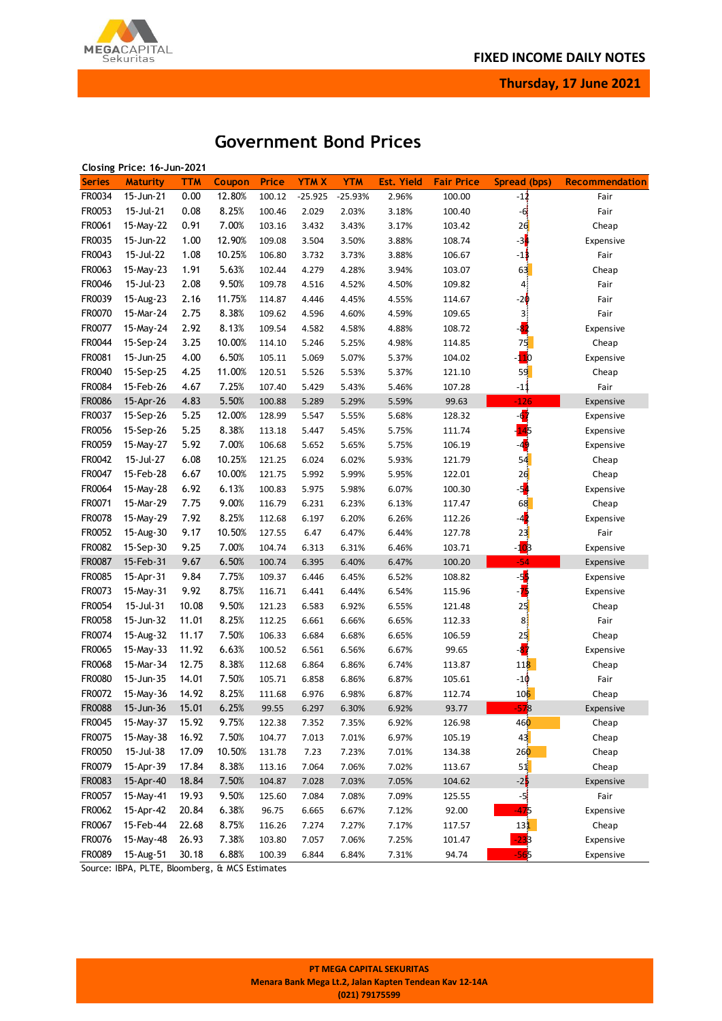

**Thursday, 17 June 2021**

# **Government Bond Prices**

|               | Closing Price: 16-Jun-2021 |                |        |                  |             |                |                   |                   |                      |                |
|---------------|----------------------------|----------------|--------|------------------|-------------|----------------|-------------------|-------------------|----------------------|----------------|
| <b>Series</b> | <b>Maturity</b>            | TTM            | Coupon | Price            | <b>YTMX</b> | <b>YTM</b>     | <b>Est. Yield</b> | <b>Fair Price</b> | Spread (bps)         | Recommendation |
| FR0034        | 15-Jun-21                  | 0.00           | 12.80% | 100.12           | $-25.925$   | $-25.93%$      | 2.96%             | 100.00            | $-1\frac{1}{3}$      | Fair           |
| FR0053        | 15-Jul-21                  | 0.08           | 8.25%  | 100.46           | 2.029       | 2.03%          | 3.18%             | 100.40            | $-6$                 | Fair           |
| FR0061        | 15-May-22                  | 0.91           | 7.00%  | 103.16           | 3.432       | 3.43%          | 3.17%             | 103.42            | 2d                   | Cheap          |
| FR0035        | 15-Jun-22                  | 1.00           | 12.90% | 109.08           | 3.504       | 3.50%          | 3.88%             | 108.74            | $-34$                | Expensive      |
| FR0043        | 15-Jul-22                  | 1.08           | 10.25% | 106.80           | 3.732       | 3.73%          | 3.88%             | 106.67            | $-1\frac{1}{2}$      | Fair           |
| FR0063        | 15-May-23                  | 1.91           | 5.63%  | 102.44           | 4.279       | 4.28%          | 3.94%             | 103.07            | 63                   | Cheap          |
| FR0046        | 15-Jul-23                  | 2.08           | 9.50%  | 109.78           | 4.516       | 4.52%          | 4.50%             | 109.82            | $\overline{4}$       | Fair           |
| FR0039        | 15-Aug-23                  | 2.16           | 11.75% | 114.87           | 4.446       | 4.45%          | 4.55%             | 114.67            | $-2\phi$             | Fair           |
| FR0070        | 15-Mar-24                  | 2.75           | 8.38%  | 109.62           | 4.596       | 4.60%          | 4.59%             | 109.65            | 3                    | Fair           |
| FR0077        | 15-May-24                  | 2.92           | 8.13%  | 109.54           | 4.582       | 4.58%          | 4.88%             | 108.72            |                      | Expensive      |
| FR0044        | 15-Sep-24                  | 3.25           | 10.00% | 114.10           | 5.246       | 5.25%          | 4.98%             | 114.85            | 75                   | Cheap          |
| FR0081        | 15-Jun-25                  | 4.00           | 6.50%  | 105.11           | 5.069       | 5.07%          | 5.37%             | 104.02            | $\mathbf{10}$        | Expensive      |
| FR0040        | 15-Sep-25                  | 4.25           | 11.00% | 120.51           | 5.526       | 5.53%          | 5.37%             | 121.10            | 59                   | Cheap          |
| FR0084        | 15-Feb-26                  | 4.67           | 7.25%  | 107.40           | 5.429       | 5.43%          | 5.46%             | 107.28            | $-1\frac{1}{2}$      | Fair           |
| FR0086        | 15-Apr-26                  | 4.83           | 5.50%  | 100.88           | 5.289       | 5.29%          | 5.59%             | 99.63             | $-126$               | Expensive      |
| FR0037        | 15-Sep-26                  | 5.25           | 12.00% | 128.99           | 5.547       | 5.55%          | 5.68%             | 128.32            | $\overrightarrow{a}$ | Expensive      |
| FR0056        | 15-Sep-26                  | 5.25           | 8.38%  | 113.18           | 5.447       | 5.45%          | 5.75%             | 111.74            | 45                   | Expensive      |
| FR0059        | 15-May-27                  | 5.92           | 7.00%  | 106.68           | 5.652       | 5.65%          | 5.75%             | 106.19            | $\overline{49}$      | Expensive      |
| FR0042        | 15-Jul-27                  | 6.08           | 10.25% | 121.25           | 6.024       | 6.02%          | 5.93%             | 121.79            | 54                   | Cheap          |
| FR0047        | 15-Feb-28                  | 6.67           | 10.00% | 121.75           | 5.992       | 5.99%          | 5.95%             | 122.01            | 26                   | Cheap          |
| FR0064        | 15-May-28                  | 6.92           | 6.13%  | 100.83           | 5.975       | 5.98%          | 6.07%             | 100.30            | -54                  | Expensive      |
| FR0071        | 15-Mar-29                  | 7.75           | 9.00%  | 116.79           | 6.231       | 6.23%          | 6.13%             | 117.47            | 68                   | Cheap          |
| FR0078        | 15-May-29                  | 7.92           | 8.25%  | 112.68           | 6.197       | 6.20%          | 6.26%             | 112.26            | $-4$                 | Expensive      |
| FR0052        | 15-Aug-30                  | 9.17           | 10.50% | 127.55           | 6.47        | 6.47%          | 6.44%             | 127.78            | 23                   | Fair           |
| FR0082        | 15-Sep-30                  | 9.25           | 7.00%  | 104.74           | 6.313       | 6.31%          | 6.46%             | 103.71            | -1 <mark>0</mark> 8  | Expensive      |
| FR0087        | 15-Feb-31                  | 9.67           | 6.50%  | 100.74           | 6.395       | 6.40%          | 6.47%             | 100.20            | $-54$                | Expensive      |
| FR0085        | 15-Apr-31                  | 9.84           | 7.75%  | 109.37           | 6.446       | 6.45%          | 6.52%             | 108.82            | -5                   | Expensive      |
| FR0073        | 15-May-31                  | 9.92           | 8.75%  | 116.71           | 6.441       | 6.44%          | 6.54%             | 115.96            | -75                  | Expensive      |
| FR0054        | 15-Jul-31                  | 10.08          | 9.50%  | 121.23           | 6.583       | 6.92%          | 6.55%             | 121.48            | 25                   | Cheap          |
| FR0058        | 15-Jun-32                  | 11.01          | 8.25%  | 112.25           | 6.661       | 6.66%          | 6.65%             | 112.33            | $\frac{8}{3}$        | Fair           |
| FR0074        | 15-Aug-32                  | 11.17          | 7.50%  | 106.33           | 6.684       | 6.68%          | 6.65%             | 106.59            | 25                   | Cheap          |
| FR0065        | 15-May-33                  | 11.92          | 6.63%  | 100.52           | 6.561       | 6.56%          | 6.67%             | 99.65             |                      | Expensive      |
| FR0068        | 15-Mar-34                  | 12.75          | 8.38%  | 112.68           | 6.864       | 6.86%          | 6.74%             | 113.87            | 118                  | Cheap          |
| FR0080        | 15-Jun-35                  | 14.01          | 7.50%  | 105.71           | 6.858       | 6.86%          | 6.87%             | 105.61            | $-10$                | Fair           |
| FR0072        | 15-May-36                  | 14.92          | 8.25%  | 111.68           | 6.976       | 6.98%          | 6.87%             | 112.74            | 10 <sub>6</sub>      | Cheap          |
| <b>FR0088</b> | 15-Jun-36                  | 15.01          | 6.25%  | 99.55            | 6.297       | 6.30%          | 6.92%             | 93.77             | -578                 | Expensive      |
| FR0045        | 15-May-37                  | 15.92          | 9.75%  | 122.38           | 7.352       | 7.35%          | 6.92%             | 126.98            | 460                  | Cheap          |
| FR0075        | 15-May-38                  | 16.92          | 7.50%  | 104.77           | 7.013       | 7.01%          | 6.97%             | 105.19            | 43                   | Cheap          |
| FR0050        | 15-Jul-38                  | 17.09          | 10.50% | 131.78           | 7.23        | 7.23%          | 7.01%             | 134.38            | 260                  | Cheap          |
| FR0079        | 15-Apr-39                  | 17.84          | 8.38%  | 113.16           | 7.064       | 7.06%          | 7.02%             | 113.67            | 51                   | Cheap          |
| FR0083        | 15-Apr-40                  | 18.84          | 7.50%  | 104.87           | 7.028       | 7.03%          | 7.05%             | 104.62            | $-2\frac{1}{2}$      | Expensive      |
| FR0057        | 15-May-41                  | 19.93          | 9.50%  | 125.60           | 7.084       | 7.08%          | 7.09%             | 125.55            | -5                   | Fair           |
| FR0062        | 15-Apr-42                  | 20.84          | 6.38%  | 96.75            | 6.665       | 6.67%          | 7.12%             | 92.00             | -475                 | Expensive      |
| FR0067        | 15-Feb-44                  |                | 8.75%  |                  |             |                |                   |                   |                      |                |
| FR0076        | 15-May-48                  | 22.68<br>26.93 | 7.38%  | 116.26<br>103.80 | 7.274       | 7.27%<br>7.06% | 7.17%             | 117.57            | 131                  | Cheap          |
|               |                            |                |        |                  | 7.057       |                | 7.25%             | 101.47            |                      | Expensive      |
| FR0089        | 15-Aug-51                  | 30.18          | 6.88%  | 100.39           | 6.844       | 6.84%          | 7.31%             | 94.74             | -565                 | Expensive      |

Source: IBPA, PLTE, Bloomberg, & MCS Estimates